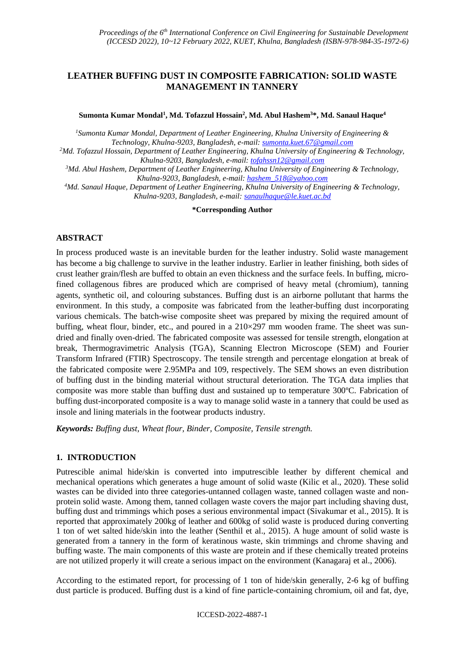# **LEATHER BUFFING DUST IN COMPOSITE FABRICATION: SOLID WASTE MANAGEMENT IN TANNERY**

**Sumonta Kumar Mondal<sup>1</sup> , Md. Tofazzul Hossain<sup>2</sup> , Md. Abul Hashem<sup>3</sup>\*, Md. Sanaul Haque<sup>4</sup>**

*<sup>1</sup>Sumonta Kumar Mondal, Department of Leather Engineering, Khulna University of Engineering & Technology, Khulna-9203, Bangladesh, e-mail: [sumonta.kuet.67@gmail.com](mailto:sumonta.kuet.67@gmail.com)*

*<sup>2</sup>Md. Tofazzul Hossain, Department of Leather Engineering, Khulna University of Engineering & Technology, Khulna-9203, Bangladesh, e-mail: [tofahssn12@gmail.com](mailto:tofahssn12@gmail.com)*

*<sup>3</sup>Md. Abul Hashem, Department of Leather Engineering, Khulna University of Engineering & Technology, Khulna-9203, Bangladesh, e-mail[: hashem\\_518@yahoo.com](mailto:hashem_518@yahoo.com)*

*<sup>4</sup>Md. Sanaul Haque, Department of Leather Engineering, Khulna University of Engineering & Technology, Khulna-9203, Bangladesh, e-mail: [sanaulhaque@le.kuet.ac.bd](mailto:sanaulhaque@le.kuet.ac.bd)*

**\*Corresponding Author**

### **ABSTRACT**

In process produced waste is an inevitable burden for the leather industry. Solid waste management has become a big challenge to survive in the leather industry. Earlier in leather finishing, both sides of crust leather grain/flesh are buffed to obtain an even thickness and the surface feels. In buffing, microfined collagenous fibres are produced which are comprised of heavy metal (chromium), tanning agents, synthetic oil, and colouring substances. Buffing dust is an airborne pollutant that harms the environment. In this study, a composite was fabricated from the leather-buffing dust incorporating various chemicals. The batch-wise composite sheet was prepared by mixing the required amount of buffing, wheat flour, binder, etc., and poured in a  $210\times297$  mm wooden frame. The sheet was sundried and finally oven-dried. The fabricated composite was assessed for tensile strength, elongation at break, Thermogravimetric Analysis (TGA), Scanning Electron Microscope (SEM) and Fourier Transform Infrared (FTIR) Spectroscopy. The tensile strength and percentage elongation at break of the fabricated composite were 2.95MPa and 109, respectively. The SEM shows an even distribution of buffing dust in the binding material without structural deterioration. The TGA data implies that composite was more stable than buffing dust and sustained up to temperature 300ºC. Fabrication of buffing dust-incorporated composite is a way to manage solid waste in a tannery that could be used as insole and lining materials in the footwear products industry.

*Keywords: Buffing dust, Wheat flour, Binder, Composite, Tensile strength.*

### **1. INTRODUCTION**

Putrescible animal hide/skin is converted into imputrescible leather by different chemical and mechanical operations which generates a huge amount of solid waste (Kilic et al., 2020). These solid wastes can be divided into three categories-untanned collagen waste, tanned collagen waste and nonprotein solid waste. Among them, tanned collagen waste covers the major part including shaving dust, buffing dust and trimmings which poses a serious environmental impact (Sivakumar et al., 2015). It is reported that approximately 200kg of leather and 600kg of solid waste is produced during converting 1 ton of wet salted hide/skin into the leather (Senthil et al., 2015). A huge amount of solid waste is generated from a tannery in the form of keratinous waste, skin trimmings and chrome shaving and buffing waste. The main components of this waste are protein and if these chemically treated proteins are not utilized properly it will create a serious impact on the environment (Kanagaraj et al., 2006).

According to the estimated report, for processing of 1 ton of hide/skin generally, 2-6 kg of buffing dust particle is produced. Buffing dust is a kind of fine particle-containing chromium, oil and fat, dye,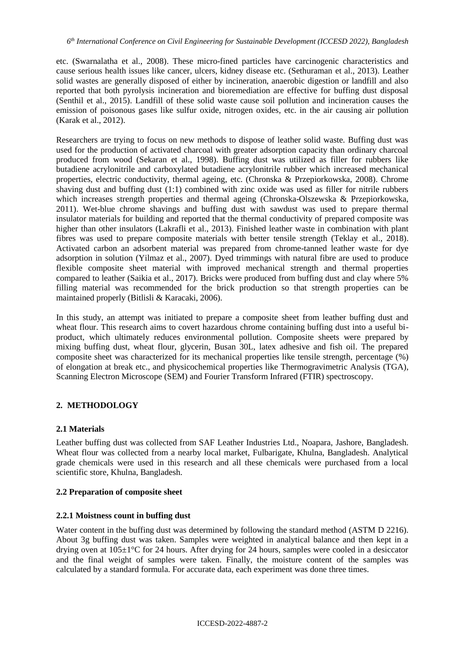etc. (Swarnalatha et al., 2008). These micro-fined particles have carcinogenic characteristics and cause serious health issues like cancer, ulcers, kidney disease etc. (Sethuraman et al., 2013). Leather solid wastes are generally disposed of either by incineration, anaerobic digestion or landfill and also reported that both pyrolysis incineration and bioremediation are effective for buffing dust disposal (Senthil et al., 2015). Landfill of these solid waste cause soil pollution and incineration causes the emission of poisonous gases like sulfur oxide, nitrogen oxides, etc. in the air causing air pollution (Karak et al., 2012).

Researchers are trying to focus on new methods to dispose of leather solid waste. Buffing dust was used for the production of activated charcoal with greater adsorption capacity than ordinary charcoal produced from wood (Sekaran et al., 1998). Buffing dust was utilized as filler for rubbers like butadiene acrylonitrile and carboxylated butadiene acrylonitrile rubber which increased mechanical properties, electric conductivity, thermal ageing, etc. (Chronska & Przepiorkowska, 2008). Chrome shaving dust and buffing dust (1:1) combined with zinc oxide was used as filler for nitrile rubbers which increases strength properties and thermal ageing (Chronska-Olszewska & Przepiorkowska, 2011). Wet-blue chrome shavings and buffing dust with sawdust was used to prepare thermal insulator materials for building and reported that the thermal conductivity of prepared composite was higher than other insulators (Lakrafli et al., 2013). Finished leather waste in combination with plant fibres was used to prepare composite materials with better tensile strength (Teklay et al., 2018). Activated carbon an adsorbent material was prepared from chrome-tanned leather waste for dye adsorption in solution (Yilmaz et al., 2007). Dyed trimmings with natural fibre are used to produce flexible composite sheet material with improved mechanical strength and thermal properties compared to leather (Saikia et al., 2017). Bricks were produced from buffing dust and clay where 5% filling material was recommended for the brick production so that strength properties can be maintained properly (Bitlisli & Karacaki, 2006).

In this study, an attempt was initiated to prepare a composite sheet from leather buffing dust and wheat flour. This research aims to covert hazardous chrome containing buffing dust into a useful biproduct, which ultimately reduces environmental pollution. Composite sheets were prepared by mixing buffing dust, wheat flour, glycerin, Busan 30L, latex adhesive and fish oil. The prepared composite sheet was characterized for its mechanical properties like tensile strength, percentage (%) of elongation at break etc., and physicochemical properties like Thermogravimetric Analysis (TGA), Scanning Electron Microscope (SEM) and Fourier Transform Infrared (FTIR) spectroscopy.

# **2. METHODOLOGY**

### **2.1 Materials**

Leather buffing dust was collected from SAF Leather Industries Ltd., Noapara, Jashore, Bangladesh. Wheat flour was collected from a nearby local market, Fulbarigate, Khulna, Bangladesh. Analytical grade chemicals were used in this research and all these chemicals were purchased from a local scientific store, Khulna, Bangladesh.

### **2.2 Preparation of composite sheet**

### **2.2.1 Moistness count in buffing dust**

Water content in the buffing dust was determined by following the standard method (ASTM D 2216). About 3g buffing dust was taken. Samples were weighted in analytical balance and then kept in a drying oven at 105±1°C for 24 hours. After drying for 24 hours, samples were cooled in a desiccator and the final weight of samples were taken. Finally, the moisture content of the samples was calculated by a standard formula. For accurate data, each experiment was done three times.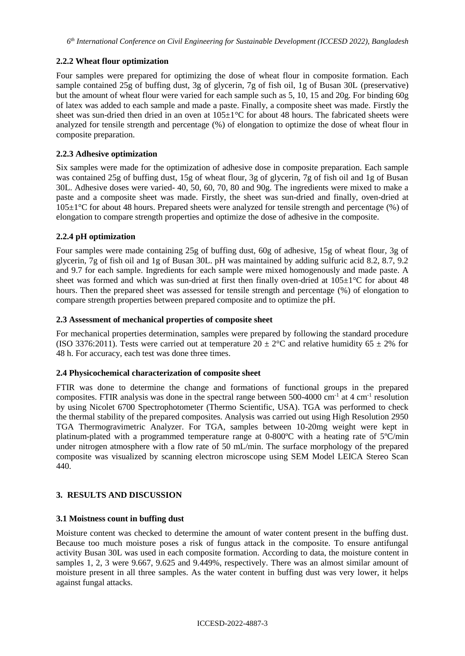## **2.2.2 Wheat flour optimization**

Four samples were prepared for optimizing the dose of wheat flour in composite formation. Each sample contained 25g of buffing dust, 3g of glycerin, 7g of fish oil, 1g of Busan 30L (preservative) but the amount of wheat flour were varied for each sample such as 5, 10, 15 and 20g. For binding 60g of latex was added to each sample and made a paste. Finally, a composite sheet was made. Firstly the sheet was sun-dried then dried in an oven at  $105\pm1\,^{\circ}\text{C}$  for about 48 hours. The fabricated sheets were analyzed for tensile strength and percentage (%) of elongation to optimize the dose of wheat flour in composite preparation.

## **2.2.3 Adhesive optimization**

Six samples were made for the optimization of adhesive dose in composite preparation. Each sample was contained 25g of buffing dust, 15g of wheat flour, 3g of glycerin, 7g of fish oil and 1g of Busan 30L. Adhesive doses were varied- 40, 50, 60, 70, 80 and 90g. The ingredients were mixed to make a paste and a composite sheet was made. Firstly, the sheet was sun-dried and finally, oven-dried at 105±1°C for about 48 hours. Prepared sheets were analyzed for tensile strength and percentage (%) of elongation to compare strength properties and optimize the dose of adhesive in the composite.

## **2.2.4 pH optimization**

Four samples were made containing 25g of buffing dust, 60g of adhesive, 15g of wheat flour, 3g of glycerin, 7g of fish oil and 1g of Busan 30L. pH was maintained by adding sulfuric acid 8.2, 8.7, 9.2 and 9.7 for each sample. Ingredients for each sample were mixed homogenously and made paste. A sheet was formed and which was sun-dried at first then finally oven-dried at  $105\pm1\degree$ C for about 48 hours. Then the prepared sheet was assessed for tensile strength and percentage (%) of elongation to compare strength properties between prepared composite and to optimize the pH.

### **2.3 Assessment of mechanical properties of composite sheet**

For mechanical properties determination, samples were prepared by following the standard procedure (ISO 3376:2011). Tests were carried out at temperature  $20 \pm 2^{\circ}$ C and relative humidity 65  $\pm$  2% for 48 h. For accuracy, each test was done three times.

### **2.4 Physicochemical characterization of composite sheet**

FTIR was done to determine the change and formations of functional groups in the prepared composites. FTIR analysis was done in the spectral range between  $500-4000$  cm<sup>-1</sup> at 4 cm<sup>-1</sup> resolution by using Nicolet 6700 Spectrophotometer (Thermo Scientific, USA). TGA was performed to check the thermal stability of the prepared composites. Analysis was carried out using High Resolution 2950 TGA Thermogravimetric Analyzer. For TGA, samples between 10-20mg weight were kept in platinum-plated with a programmed temperature range at 0-800ºC with a heating rate of 5ºC/min under nitrogen atmosphere with a flow rate of 50 mL/min. The surface morphology of the prepared composite was visualized by scanning electron microscope using SEM Model LEICA Stereo Scan 440.

### **3. RESULTS AND DISCUSSION**

### **3.1 Moistness count in buffing dust**

Moisture content was checked to determine the amount of water content present in the buffing dust. Because too much moisture poses a risk of fungus attack in the composite. To ensure antifungal activity Busan 30L was used in each composite formation. According to data, the moisture content in samples 1, 2, 3 were 9.667, 9.625 and 9.449%, respectively. There was an almost similar amount of moisture present in all three samples. As the water content in buffing dust was very lower, it helps against fungal attacks.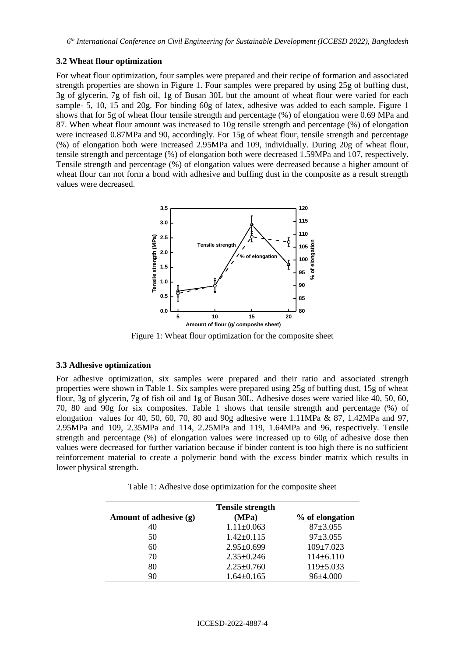#### **3.2 Wheat flour optimization**

For wheat flour optimization, four samples were prepared and their recipe of formation and associated strength properties are shown in Figure 1. Four samples were prepared by using 25g of buffing dust, 3g of glycerin, 7g of fish oil, 1g of Busan 30L but the amount of wheat flour were varied for each sample- 5, 10, 15 and 20g. For binding 60g of latex, adhesive was added to each sample. Figure 1 shows that for 5g of wheat flour tensile strength and percentage (%) of elongation were 0.69 MPa and 87. When wheat flour amount was increased to 10g tensile strength and percentage (%) of elongation were increased 0.87MPa and 90, accordingly. For 15g of wheat flour, tensile strength and percentage (%) of elongation both were increased 2.95MPa and 109, individually. During 20g of wheat flour, tensile strength and percentage (%) of elongation both were decreased 1.59MPa and 107, respectively. Tensile strength and percentage (%) of elongation values were decreased because a higher amount of wheat flour can not form a bond with adhesive and buffing dust in the composite as a result strength values were decreased.



Figure 1: Wheat flour optimization for the composite sheet

#### **3.3 Adhesive optimization**

For adhesive optimization, six samples were prepared and their ratio and associated strength properties were shown in Table 1. Six samples were prepared using 25g of buffing dust, 15g of wheat flour, 3g of glycerin, 7g of fish oil and 1g of Busan 30L. Adhesive doses were varied like 40, 50, 60, 70, 80 and 90g for six composites. Table 1 shows that tensile strength and percentage (%) of elongation values for 40, 50, 60, 70, 80 and 90g adhesive were 1.11MPa & 87, 1.42MPa and 97, 2.95MPa and 109, 2.35MPa and 114, 2.25MPa and 119, 1.64MPa and 96, respectively. Tensile strength and percentage (%) of elongation values were increased up to 60g of adhesive dose then values were decreased for further variation because if binder content is too high there is no sufficient reinforcement material to create a polymeric bond with the excess binder matrix which results in lower physical strength.

Table 1: Adhesive dose optimization for the composite sheet

| <b>Tensile strength</b> |                  |                 |
|-------------------------|------------------|-----------------|
| Amount of adhesive (g)  | (MPa)            | % of elongation |
| 40                      | $1.11 \pm 0.063$ | $87 + 3.055$    |
| 50                      | $1.42 \pm 0.115$ | $97 \pm 3.055$  |
| 60                      | $2.95 \pm 0.699$ | $109 \pm 7.023$ |
| 70                      | $2.35 \pm 0.246$ | $114\pm 6.110$  |
| 80                      | $2.25 \pm 0.760$ | $119\pm5.033$   |
| 90                      | $1.64 \pm 0.165$ | 96±4.000        |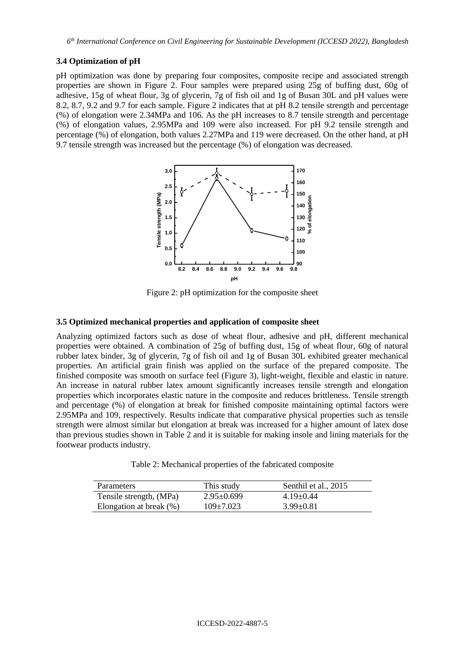### **3.4 Optimization of pH**

pH optimization was done by preparing four composites, composite recipe and associated strength properties are shown in Figure 2. Four samples were prepared using 25g of buffing dust, 60g of adhesive, 15g of wheat flour, 3g of glycerin, 7g of fish oil and 1g of Busan 30L and pH values were 8.2, 8.7, 9.2 and 9.7 for each sample. Figure 2 indicates that at pH 8.2 tensile strength and percentage (%) of elongation were 2.34MPa and 106. As the pH increases to 8.7 tensile strength and percentage (%) of elongation values, 2.95MPa and 109 were also increased. For pH 9.2 tensile strength and percentage (%) of elongation, both values 2.27MPa and 119 were decreased. On the other hand, at pH 9.7 tensile strength was increased but the percentage (%) of elongation was decreased.



Figure 2: pH optimization for the composite sheet

### **3.5 Optimized mechanical properties and application of composite sheet**

Analyzing optimized factors such as dose of wheat flour, adhesive and pH, different mechanical properties were obtained. A combination of 25g of buffing dust, 15g of wheat flour, 60g of natural rubber latex binder, 3g of glycerin, 7g of fish oil and 1g of Busan 30L exhibited greater mechanical properties. An artificial grain finish was applied on the surface of the prepared composite. The finished composite was smooth on surface feel (Figure 3), light-weight, flexible and elastic in nature. An increase in natural rubber latex amount significantly increases tensile strength and elongation properties which incorporates elastic nature in the composite and reduces brittleness. Tensile strength and percentage (%) of elongation at break for finished composite maintaining optimal factors were 2.95MPa and 109, respectively. Results indicate that comparative physical properties such as tensile strength were almost similar but elongation at break was increased for a higher amount of latex dose than previous studies shown in Table 2 and it is suitable for making insole and lining materials for the footwear products industry.

Table 2: Mechanical properties of the fabricated composite

| <b>Parameters</b>       | This study       | Senthil et al., 2015 |
|-------------------------|------------------|----------------------|
| Tensile strength, (MPa) | $2.95 \pm 0.699$ | $4.19 \pm 0.44$      |
| Elongation at break (%) | $109\pm7.023$    | $3.99 \pm 0.81$      |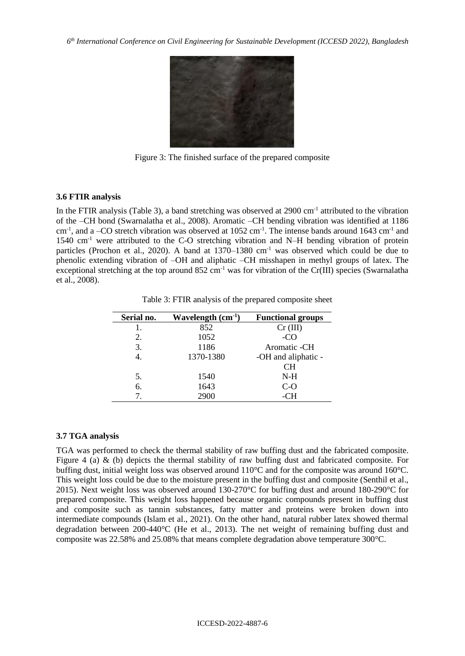

Figure 3: The finished surface of the prepared composite

### **3.6 FTIR analysis**

In the FTIR analysis (Table 3), a band stretching was observed at 2900 cm<sup>-1</sup> attributed to the vibration of the –CH bond (Swarnalatha et al., 2008). Aromatic –CH bending vibration was identified at 1186 cm<sup>-1</sup>, and a -CO stretch vibration was observed at 1052 cm<sup>-1</sup>. The intense bands around 1643 cm<sup>-1</sup> and 1540 cm<sup>-1</sup> were attributed to the C-O stretching vibration and N-H bending vibration of protein particles (Prochon et al., 2020). A band at 1370–1380 cm<sup>-1</sup> was observed which could be due to phenolic extending vibration of –OH and aliphatic –CH misshapen in methyl groups of latex. The exceptional stretching at the top around  $852 \text{ cm}^{-1}$  was for vibration of the Cr(III) species (Swarnalatha et al., 2008).

| Serial no. | Wavelength $(cm-1)$ | <b>Functional groups</b> |
|------------|---------------------|--------------------------|
| 1.         | 852                 | Cr (III)                 |
| 2.         | 1052                | -CO                      |
| 3.         | 1186                | Aromatic -CH             |
| 4.         | 1370-1380           | -OH and aliphatic -      |
|            |                     | <b>CH</b>                |
| 5.         | 1540                | N-H                      |
| 6.         | 1643                | C-O                      |
|            | 2900                | -CH                      |

Table 3: FTIR analysis of the prepared composite sheet

#### **3.7 TGA analysis**

TGA was performed to check the thermal stability of raw buffing dust and the fabricated composite. Figure 4 (a) & (b) depicts the thermal stability of raw buffing dust and fabricated composite. For buffing dust, initial weight loss was observed around 110°C and for the composite was around 160°C. This weight loss could be due to the moisture present in the buffing dust and composite (Senthil et al., 2015). Next weight loss was observed around 130-270°C for buffing dust and around 180-290°C for prepared composite. This weight loss happened because organic compounds present in buffing dust and composite such as tannin substances, fatty matter and proteins were broken down into intermediate compounds (Islam et al., 2021). On the other hand, natural rubber latex showed thermal degradation between 200-440°C (He et al., 2013). The net weight of remaining buffing dust and composite was 22.58% and 25.08% that means complete degradation above temperature 300°C.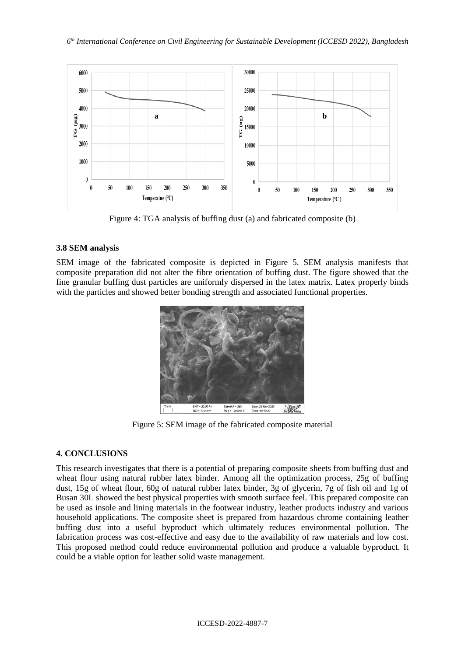

Figure 4: TGA analysis of buffing dust (a) and fabricated composite (b)

# **3.8 SEM analysis**

SEM image of the fabricated composite is depicted in Figure 5. SEM analysis manifests that composite preparation did not alter the fibre orientation of buffing dust. The figure showed that the fine granular buffing dust particles are uniformly dispersed in the latex matrix. Latex properly binds with the particles and showed better bonding strength and associated functional properties.



Figure 5: SEM image of the fabricated composite material

# **4. CONCLUSIONS**

This research investigates that there is a potential of preparing composite sheets from buffing dust and wheat flour using natural rubber latex binder. Among all the optimization process, 25g of buffing dust, 15g of wheat flour, 60g of natural rubber latex binder, 3g of glycerin, 7g of fish oil and 1g of Busan 30L showed the best physical properties with smooth surface feel. This prepared composite can be used as insole and lining materials in the footwear industry, leather products industry and various household applications. The composite sheet is prepared from hazardous chrome containing leather buffing dust into a useful byproduct which ultimately reduces environmental pollution. The fabrication process was cost-effective and easy due to the availability of raw materials and low cost. This proposed method could reduce environmental pollution and produce a valuable byproduct. It could be a viable option for leather solid waste management.